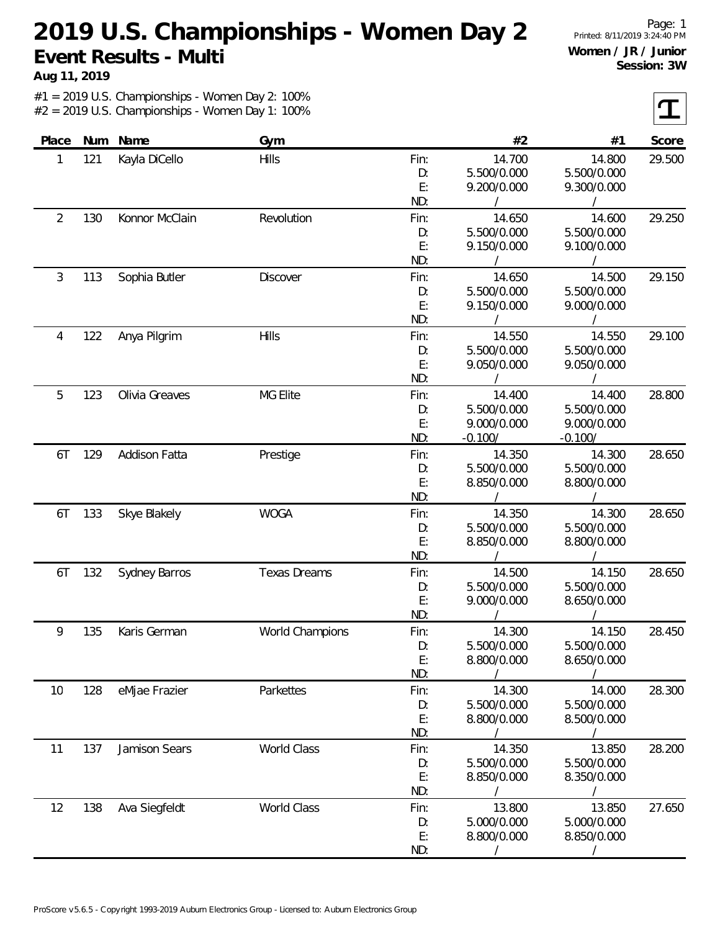**Aug 11, 2019**

Page: 1 Printed: 8/11/2019 3:24:40 PM **Women / JR / Junior Session: 3W**

| Place |     | Num Name       | Gym                 |      | #2          | #1          | Score  |
|-------|-----|----------------|---------------------|------|-------------|-------------|--------|
| 1     | 121 | Kayla DiCello  | Hills               | Fin: | 14.700      | 14.800      | 29.500 |
|       |     |                |                     | D:   | 5.500/0.000 | 5.500/0.000 |        |
|       |     |                |                     | E:   | 9.200/0.000 | 9.300/0.000 |        |
|       |     |                |                     | ND:  | $\prime$    |             |        |
| 2     | 130 | Konnor McClain | Revolution          | Fin: | 14.650      | 14.600      | 29.250 |
|       |     |                |                     | D:   | 5.500/0.000 | 5.500/0.000 |        |
|       |     |                |                     | E:   | 9.150/0.000 | 9.100/0.000 |        |
|       |     |                |                     | ND:  |             |             |        |
| 3     | 113 | Sophia Butler  | <b>Discover</b>     | Fin: | 14.650      | 14.500      | 29.150 |
|       |     |                |                     | D:   | 5.500/0.000 | 5.500/0.000 |        |
|       |     |                |                     | E:   | 9.150/0.000 | 9.000/0.000 |        |
|       |     |                |                     | ND:  |             |             |        |
| 4     | 122 | Anya Pilgrim   | Hills               | Fin: | 14.550      | 14.550      | 29.100 |
|       |     |                |                     | D:   | 5.500/0.000 | 5.500/0.000 |        |
|       |     |                |                     | E:   | 9.050/0.000 | 9.050/0.000 |        |
|       |     |                |                     | ND:  |             |             |        |
| 5     | 123 | Olivia Greaves | <b>MG Elite</b>     | Fin: | 14.400      | 14.400      | 28.800 |
|       |     |                |                     | D:   | 5.500/0.000 | 5.500/0.000 |        |
|       |     |                |                     | E:   | 9.000/0.000 | 9.000/0.000 |        |
|       |     |                |                     | ND:  | $-0.100/$   | $-0.100/$   |        |
| 6T    | 129 | Addison Fatta  | Prestige            | Fin: | 14.350      | 14.300      | 28.650 |
|       |     |                |                     | D:   | 5.500/0.000 | 5.500/0.000 |        |
|       |     |                |                     | E:   | 8.850/0.000 | 8.800/0.000 |        |
|       |     |                |                     | ND:  |             |             |        |
| 6T    | 133 | Skye Blakely   | <b>WOGA</b>         | Fin: | 14.350      | 14.300      | 28.650 |
|       |     |                |                     | D:   | 5.500/0.000 | 5.500/0.000 |        |
|       |     |                |                     | E:   | 8.850/0.000 | 8.800/0.000 |        |
|       |     |                |                     | ND:  |             |             |        |
| 6T    | 132 | Sydney Barros  | <b>Texas Dreams</b> | Fin: | 14.500      | 14.150      | 28.650 |
|       |     |                |                     | D:   | 5.500/0.000 | 5.500/0.000 |        |
|       |     |                |                     | E:   | 9.000/0.000 | 8.650/0.000 |        |
|       |     |                |                     | ND:  |             |             |        |
| 9     | 135 | Karis German   | World Champions     | Fin: | 14.300      | 14.150      | 28.450 |
|       |     |                |                     | D:   | 5.500/0.000 | 5.500/0.000 |        |
|       |     |                |                     | E:   | 8.800/0.000 | 8.650/0.000 |        |
|       |     |                |                     | ND:  |             |             |        |
| 10    | 128 | eMjae Frazier  | Parkettes           | Fin: | 14.300      | 14.000      | 28.300 |
|       |     |                |                     | D:   | 5.500/0.000 | 5.500/0.000 |        |
|       |     |                |                     | E:   | 8.800/0.000 | 8.500/0.000 |        |
|       |     |                |                     | ND:  |             |             |        |
| 11    | 137 | Jamison Sears  | <b>World Class</b>  | Fin: | 14.350      | 13.850      | 28.200 |
|       |     |                |                     | D:   | 5.500/0.000 | 5.500/0.000 |        |
|       |     |                |                     | E:   | 8.850/0.000 | 8.350/0.000 |        |
|       |     |                |                     | ND:  |             |             |        |
| 12    | 138 | Ava Siegfeldt  | <b>World Class</b>  | Fin: | 13.800      | 13.850      | 27.650 |
|       |     |                |                     | D:   | 5.000/0.000 | 5.000/0.000 |        |
|       |     |                |                     | E:   | 8.800/0.000 | 8.850/0.000 |        |
|       |     |                |                     | ND:  |             |             |        |
|       |     |                |                     |      |             |             |        |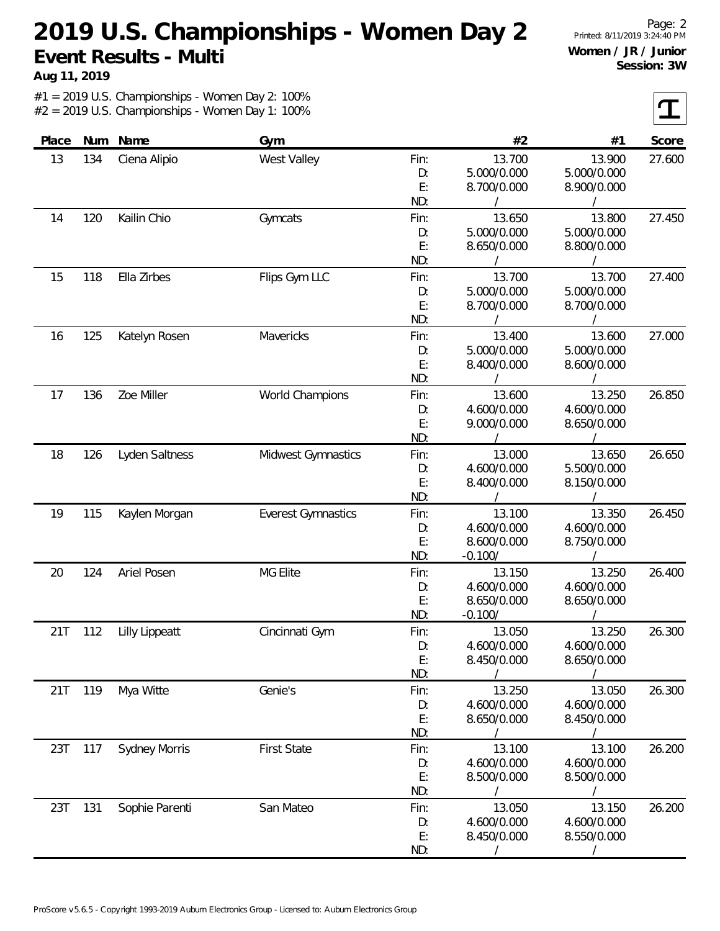**Aug 11, 2019**

Page: 2 Printed: 8/11/2019 3:24:40 PM **Women / JR / Junior Session: 3W**

 $\tau$ 

| Place | Num | Name                  | Gym                       |      | #2          | #1          | Score  |
|-------|-----|-----------------------|---------------------------|------|-------------|-------------|--------|
| 13    | 134 | Ciena Alipio          | West Valley               | Fin: | 13.700      | 13.900      | 27.600 |
|       |     |                       |                           | D:   | 5.000/0.000 | 5.000/0.000 |        |
|       |     |                       |                           | E:   | 8.700/0.000 | 8.900/0.000 |        |
|       |     |                       |                           | ND:  |             |             |        |
| 14    | 120 | Kailin Chio           | Gymcats                   | Fin: | 13.650      | 13.800      | 27.450 |
|       |     |                       |                           | D:   | 5.000/0.000 | 5.000/0.000 |        |
|       |     |                       |                           | E:   | 8.650/0.000 | 8.800/0.000 |        |
|       |     |                       |                           | ND:  |             |             |        |
| 15    | 118 | Ella Zirbes           | Flips Gym LLC             | Fin: | 13.700      | 13.700      | 27.400 |
|       |     |                       |                           | D:   | 5.000/0.000 | 5.000/0.000 |        |
|       |     |                       |                           | E:   | 8.700/0.000 | 8.700/0.000 |        |
|       |     |                       |                           | ND:  |             |             |        |
| 16    | 125 | Katelyn Rosen         | Mavericks                 | Fin: | 13.400      | 13.600      | 27.000 |
|       |     |                       |                           | D:   | 5.000/0.000 | 5.000/0.000 |        |
|       |     |                       |                           | E:   | 8.400/0.000 | 8.600/0.000 |        |
|       |     |                       |                           | ND:  |             |             |        |
| 17    | 136 | Zoe Miller            | World Champions           | Fin: | 13.600      | 13.250      | 26.850 |
|       |     |                       |                           | D:   | 4.600/0.000 | 4.600/0.000 |        |
|       |     |                       |                           | E:   | 9.000/0.000 | 8.650/0.000 |        |
|       |     |                       |                           | ND:  |             |             |        |
| 18    | 126 | Lyden Saltness        | Midwest Gymnastics        | Fin: | 13.000      | 13.650      | 26.650 |
|       |     |                       |                           | D:   | 4.600/0.000 | 5.500/0.000 |        |
|       |     |                       |                           | E:   | 8.400/0.000 | 8.150/0.000 |        |
|       |     |                       |                           | ND:  |             |             |        |
| 19    | 115 | Kaylen Morgan         | <b>Everest Gymnastics</b> | Fin: | 13.100      | 13.350      | 26.450 |
|       |     |                       |                           | D:   | 4.600/0.000 | 4.600/0.000 |        |
|       |     |                       |                           | E:   | 8.600/0.000 | 8.750/0.000 |        |
|       |     |                       |                           | ND:  | $-0.100/$   |             |        |
| 20    | 124 | Ariel Posen           | MG Elite                  | Fin: | 13.150      | 13.250      | 26.400 |
|       |     |                       |                           | D:   | 4.600/0.000 | 4.600/0.000 |        |
|       |     |                       |                           | E:   | 8.650/0.000 | 8.650/0.000 |        |
|       |     |                       |                           | ND:  | $-0.100/$   |             |        |
| 21T   | 112 | <b>Lilly Lippeatt</b> | Cincinnati Gym            | Fin: | 13.050      | 13.250      | 26.300 |
|       |     |                       |                           | D:   | 4.600/0.000 | 4.600/0.000 |        |
|       |     |                       |                           | E:   | 8.450/0.000 | 8.650/0.000 |        |
|       |     |                       |                           | ND:  |             |             |        |
| 21T   | 119 | Mya Witte             | Genie's                   | Fin: | 13.250      | 13.050      | 26.300 |
|       |     |                       |                           | D:   | 4.600/0.000 | 4.600/0.000 |        |
|       |     |                       |                           | E:   | 8.650/0.000 | 8.450/0.000 |        |
|       |     |                       |                           | ND:  |             |             |        |
| 23T   | 117 | <b>Sydney Morris</b>  | <b>First State</b>        | Fin: | 13.100      | 13.100      | 26.200 |
|       |     |                       |                           | D:   | 4.600/0.000 | 4.600/0.000 |        |
|       |     |                       |                           | E:   | 8.500/0.000 | 8.500/0.000 |        |
|       |     |                       |                           | ND:  |             |             |        |
| 23T   | 131 | Sophie Parenti        | San Mateo                 | Fin: | 13.050      | 13.150      | 26.200 |
|       |     |                       |                           | D:   | 4.600/0.000 | 4.600/0.000 |        |
|       |     |                       |                           | E:   | 8.450/0.000 | 8.550/0.000 |        |
|       |     |                       |                           | ND:  |             |             |        |
|       |     |                       |                           |      |             |             |        |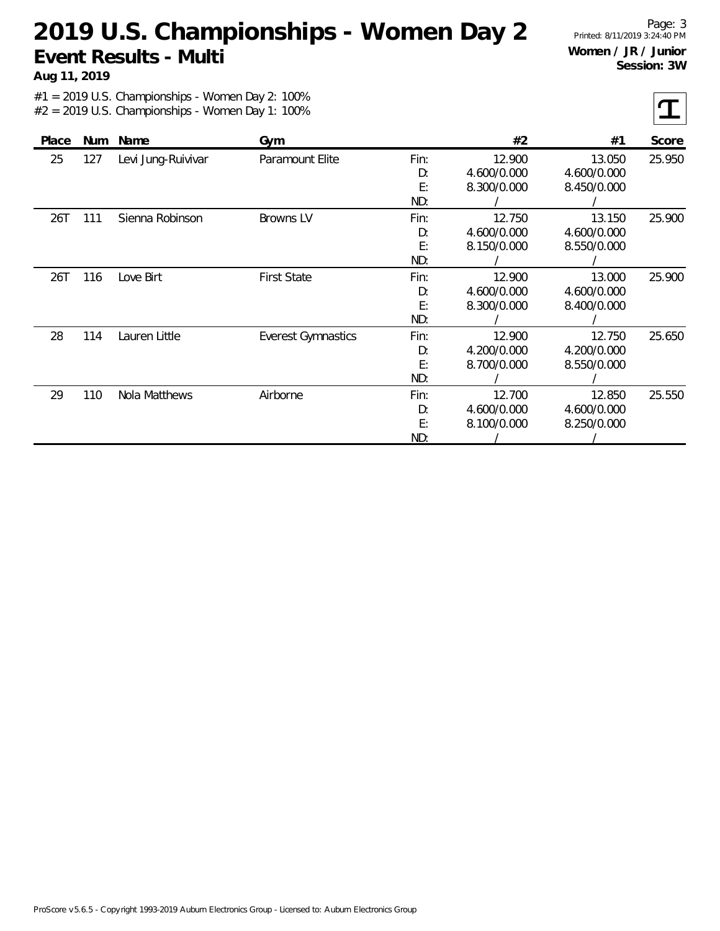**Aug 11, 2019**

Page: 3 Printed: 8/11/2019 3:24:40 PM **Women / JR / Junior Session: 3W**

| Place | <b>Num</b> | Name               | Gym                       |      | #2          | #1          | Score  |
|-------|------------|--------------------|---------------------------|------|-------------|-------------|--------|
| 25    | 127        | Levi Jung-Ruivivar | Paramount Elite           | Fin: | 12.900      | 13.050      | 25.950 |
|       |            |                    |                           | D:   | 4.600/0.000 | 4.600/0.000 |        |
|       |            |                    |                           | E:   | 8.300/0.000 | 8.450/0.000 |        |
|       |            |                    |                           | ND:  |             |             |        |
| 26T   | 111        | Sienna Robinson    | Browns LV                 | Fin: | 12.750      | 13.150      | 25.900 |
|       |            |                    |                           | D:   | 4.600/0.000 | 4.600/0.000 |        |
|       |            |                    |                           | E:   | 8.150/0.000 | 8.550/0.000 |        |
|       |            |                    |                           | ND:  |             |             |        |
| 26T   | 116        | Love Birt          | <b>First State</b>        | Fin: | 12.900      | 13.000      | 25.900 |
|       |            |                    |                           | D:   | 4.600/0.000 | 4.600/0.000 |        |
|       |            |                    |                           | E:   | 8.300/0.000 | 8.400/0.000 |        |
|       |            |                    |                           | ND:  |             |             |        |
| 28    | 114        | Lauren Little      | <b>Everest Gymnastics</b> | Fin: | 12.900      | 12.750      | 25.650 |
|       |            |                    |                           | D:   | 4.200/0.000 | 4.200/0.000 |        |
|       |            |                    |                           | E:   | 8.700/0.000 | 8.550/0.000 |        |
|       |            |                    |                           | ND:  |             |             |        |
| 29    | 110        | Nola Matthews      | Airborne                  | Fin: | 12.700      | 12.850      | 25.550 |
|       |            |                    |                           | D:   | 4.600/0.000 | 4.600/0.000 |        |
|       |            |                    |                           | E:   | 8.100/0.000 | 8.250/0.000 |        |
|       |            |                    |                           | ND:  |             |             |        |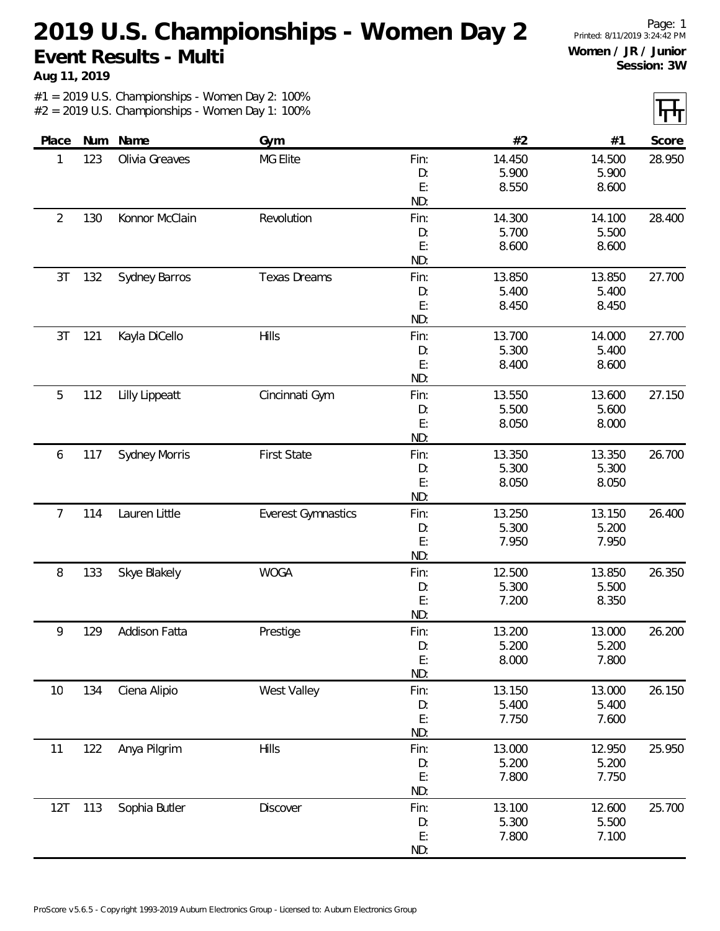**Aug 11, 2019**

Page: 1 Printed: 8/11/2019 3:24:42 PM **Women / JR / Junior Session: 3W**

| Place          | Num | Name                  | Gym                       |      | #2     | #1     | Score  |
|----------------|-----|-----------------------|---------------------------|------|--------|--------|--------|
| 1              | 123 | Olivia Greaves        | <b>MG Elite</b>           | Fin: | 14.450 | 14.500 | 28.950 |
|                |     |                       |                           | D:   | 5.900  | 5.900  |        |
|                |     |                       |                           | E:   | 8.550  | 8.600  |        |
|                |     |                       |                           | ND:  |        |        |        |
| $\overline{2}$ | 130 | Konnor McClain        | Revolution                | Fin: | 14.300 | 14.100 | 28.400 |
|                |     |                       |                           | D:   | 5.700  | 5.500  |        |
|                |     |                       |                           | E:   | 8.600  | 8.600  |        |
|                |     |                       |                           | ND:  |        |        |        |
| 3T             | 132 | Sydney Barros         | <b>Texas Dreams</b>       | Fin: | 13.850 | 13.850 | 27.700 |
|                |     |                       |                           | D:   | 5.400  | 5.400  |        |
|                |     |                       |                           | E:   | 8.450  | 8.450  |        |
|                |     |                       |                           | ND:  |        |        |        |
| 3T             | 121 | Kayla DiCello         | Hills                     | Fin: | 13.700 | 14.000 | 27.700 |
|                |     |                       |                           | D:   | 5.300  | 5.400  |        |
|                |     |                       |                           | E:   | 8.400  | 8.600  |        |
|                |     |                       |                           | ND:  |        |        |        |
| 5              | 112 | <b>Lilly Lippeatt</b> | Cincinnati Gym            | Fin: | 13.550 | 13.600 | 27.150 |
|                |     |                       |                           | D:   | 5.500  | 5.600  |        |
|                |     |                       |                           | E:   | 8.050  | 8.000  |        |
|                |     |                       |                           | ND:  |        |        |        |
| 6              | 117 | <b>Sydney Morris</b>  | <b>First State</b>        | Fin: | 13.350 | 13.350 | 26.700 |
|                |     |                       |                           | D:   | 5.300  | 5.300  |        |
|                |     |                       |                           | E:   | 8.050  | 8.050  |        |
|                |     |                       |                           | ND:  |        |        |        |
| 7              | 114 | Lauren Little         | <b>Everest Gymnastics</b> | Fin: | 13.250 | 13.150 | 26.400 |
|                |     |                       |                           | D:   | 5.300  | 5.200  |        |
|                |     |                       |                           | E:   | 7.950  | 7.950  |        |
|                |     |                       |                           | ND:  |        |        |        |
| 8              | 133 | Skye Blakely          | <b>WOGA</b>               | Fin: | 12.500 | 13.850 | 26.350 |
|                |     |                       |                           | D:   | 5.300  | 5.500  |        |
|                |     |                       |                           | E:   | 7.200  | 8.350  |        |
|                |     |                       |                           | ND:  |        |        |        |
| 9              | 129 | <b>Addison Fatta</b>  | Prestige                  | Fin: | 13.200 | 13.000 | 26.200 |
|                |     |                       |                           | D:   | 5.200  | 5.200  |        |
|                |     |                       |                           | E:   | 8.000  | 7.800  |        |
|                |     |                       |                           | ND:  |        |        |        |
| 10             | 134 | Ciena Alipio          | West Valley               | Fin: | 13.150 | 13.000 | 26.150 |
|                |     |                       |                           | D:   | 5.400  | 5.400  |        |
|                |     |                       |                           | E:   | 7.750  | 7.600  |        |
|                |     |                       |                           | ND:  |        |        |        |
| 11             | 122 | Anya Pilgrim          | Hills                     | Fin: | 13.000 | 12.950 | 25.950 |
|                |     |                       |                           | D:   | 5.200  | 5.200  |        |
|                |     |                       |                           | E:   | 7.800  | 7.750  |        |
|                |     |                       |                           | ND:  |        |        |        |
| 12T            | 113 | Sophia Butler         | Discover                  | Fin: | 13.100 | 12.600 | 25.700 |
|                |     |                       |                           | D:   | 5.300  | 5.500  |        |
|                |     |                       |                           | E:   | 7.800  | 7.100  |        |
|                |     |                       |                           | ND:  |        |        |        |
|                |     |                       |                           |      |        |        |        |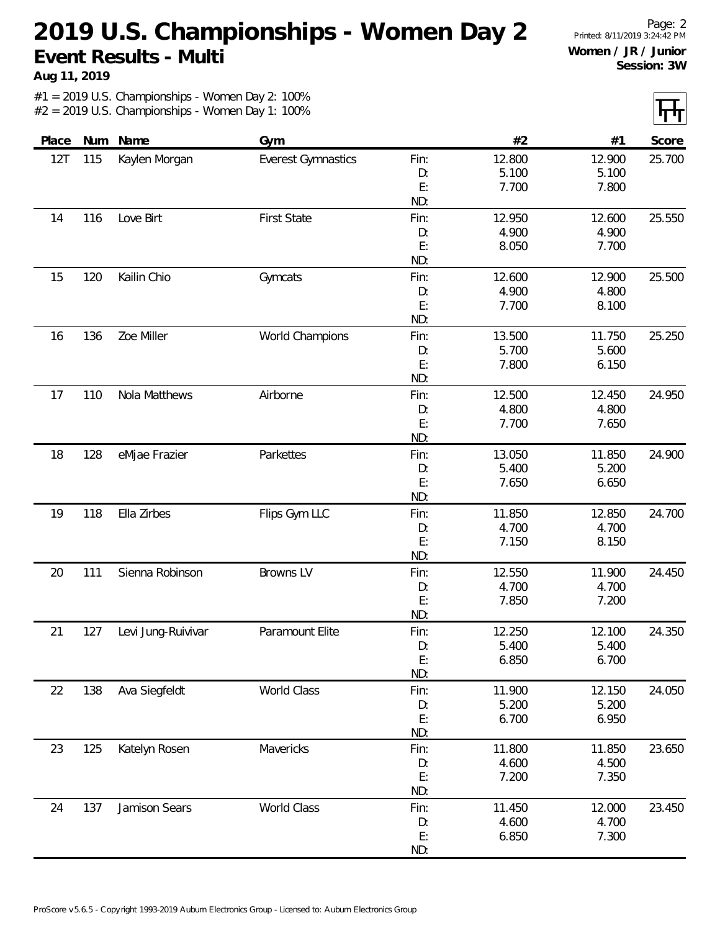**Aug 11, 2019**

Page: 2 Printed: 8/11/2019 3:24:42 PM **Women / JR / Junior Session: 3W**

| Place | Num | Name               | Gym                       |      | #2     | #1     | Score  |
|-------|-----|--------------------|---------------------------|------|--------|--------|--------|
| 12T   | 115 | Kaylen Morgan      | <b>Everest Gymnastics</b> | Fin: | 12.800 | 12.900 | 25.700 |
|       |     |                    |                           | D:   | 5.100  | 5.100  |        |
|       |     |                    |                           | E:   | 7.700  | 7.800  |        |
|       |     |                    |                           | ND:  |        |        |        |
| 14    | 116 | Love Birt          | <b>First State</b>        | Fin: | 12.950 | 12.600 | 25.550 |
|       |     |                    |                           | D:   | 4.900  | 4.900  |        |
|       |     |                    |                           | E:   | 8.050  | 7.700  |        |
|       |     |                    |                           | ND:  |        |        |        |
| 15    | 120 | Kailin Chio        | Gymcats                   | Fin: | 12.600 | 12.900 | 25.500 |
|       |     |                    |                           | D:   | 4.900  | 4.800  |        |
|       |     |                    |                           | E:   | 7.700  | 8.100  |        |
|       |     |                    |                           | ND:  |        |        |        |
| 16    | 136 | Zoe Miller         | World Champions           | Fin: | 13.500 | 11.750 | 25.250 |
|       |     |                    |                           | D:   | 5.700  | 5.600  |        |
|       |     |                    |                           | E:   | 7.800  | 6.150  |        |
|       |     |                    |                           | ND:  |        |        |        |
| 17    | 110 | Nola Matthews      | Airborne                  | Fin: | 12.500 | 12.450 | 24.950 |
|       |     |                    |                           | D:   | 4.800  | 4.800  |        |
|       |     |                    |                           | E:   | 7.700  | 7.650  |        |
|       |     |                    |                           | ND:  |        |        |        |
| 18    | 128 | eMjae Frazier      | Parkettes                 | Fin: | 13.050 | 11.850 | 24.900 |
|       |     |                    |                           | D:   | 5.400  | 5.200  |        |
|       |     |                    |                           | E:   | 7.650  | 6.650  |        |
|       |     |                    |                           | ND:  |        |        |        |
| 19    | 118 | Ella Zirbes        | Flips Gym LLC             | Fin: | 11.850 | 12.850 | 24.700 |
|       |     |                    |                           | D:   | 4.700  | 4.700  |        |
|       |     |                    |                           | E:   | 7.150  | 8.150  |        |
|       |     |                    |                           | ND:  |        |        |        |
| 20    | 111 | Sienna Robinson    | Browns LV                 | Fin: | 12.550 | 11.900 | 24.450 |
|       |     |                    |                           | D:   | 4.700  | 4.700  |        |
|       |     |                    |                           | E:   | 7.850  | 7.200  |        |
|       |     |                    |                           | ND:  |        |        |        |
| 21    | 127 | Levi Jung-Ruivivar | Paramount Elite           | Fin: | 12.250 | 12.100 | 24.350 |
|       |     |                    |                           | D:   | 5.400  | 5.400  |        |
|       |     |                    |                           | E:   | 6.850  | 6.700  |        |
|       |     |                    |                           | ND:  |        |        |        |
| 22    | 138 | Ava Siegfeldt      | World Class               | Fin: | 11.900 | 12.150 | 24.050 |
|       |     |                    |                           | D:   | 5.200  | 5.200  |        |
|       |     |                    |                           | E:   | 6.700  | 6.950  |        |
|       |     |                    |                           | ND:  |        |        |        |
| 23    | 125 | Katelyn Rosen      | Mavericks                 | Fin: | 11.800 | 11.850 | 23.650 |
|       |     |                    |                           | D:   | 4.600  | 4.500  |        |
|       |     |                    |                           | E:   | 7.200  | 7.350  |        |
|       |     |                    |                           | ND:  |        |        |        |
| 24    | 137 | Jamison Sears      | World Class               | Fin: | 11.450 | 12.000 | 23.450 |
|       |     |                    |                           | D:   | 4.600  | 4.700  |        |
|       |     |                    |                           | E:   | 6.850  | 7.300  |        |
|       |     |                    |                           | ND:  |        |        |        |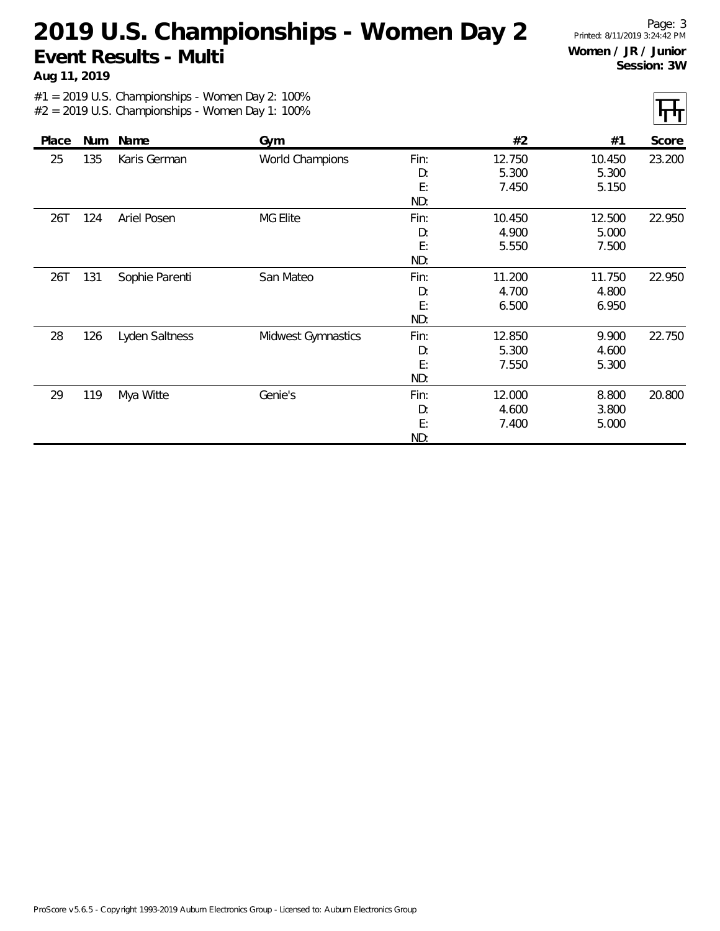**Aug 11, 2019**

Page: 3 Printed: 8/11/2019 3:24:42 PM **Women / JR / Junior Session: 3W**

IT.

|       |     |                |                    |                         |                          |                          | .      |
|-------|-----|----------------|--------------------|-------------------------|--------------------------|--------------------------|--------|
| Place | Num | Name           | Gym                |                         | #2                       | #1                       | Score  |
| 25    | 135 | Karis German   | World Champions    | Fin:<br>D:<br>E:<br>ND: | 12.750<br>5.300<br>7.450 | 10.450<br>5.300<br>5.150 | 23.200 |
| 26T   | 124 | Ariel Posen    | <b>MG Elite</b>    | Fin:<br>D:<br>E:<br>ND: | 10.450<br>4.900<br>5.550 | 12.500<br>5.000<br>7.500 | 22.950 |
| 26T   | 131 | Sophie Parenti | San Mateo          | Fin:<br>D:<br>E:<br>ND: | 11.200<br>4.700<br>6.500 | 11.750<br>4.800<br>6.950 | 22.950 |
| 28    | 126 | Lyden Saltness | Midwest Gymnastics | Fin:<br>D:<br>E:<br>ND: | 12.850<br>5.300<br>7.550 | 9.900<br>4.600<br>5.300  | 22.750 |
| 29    | 119 | Mya Witte      | Genie's            | Fin:<br>D:<br>E:<br>ND: | 12.000<br>4.600<br>7.400 | 8.800<br>3.800<br>5.000  | 20.800 |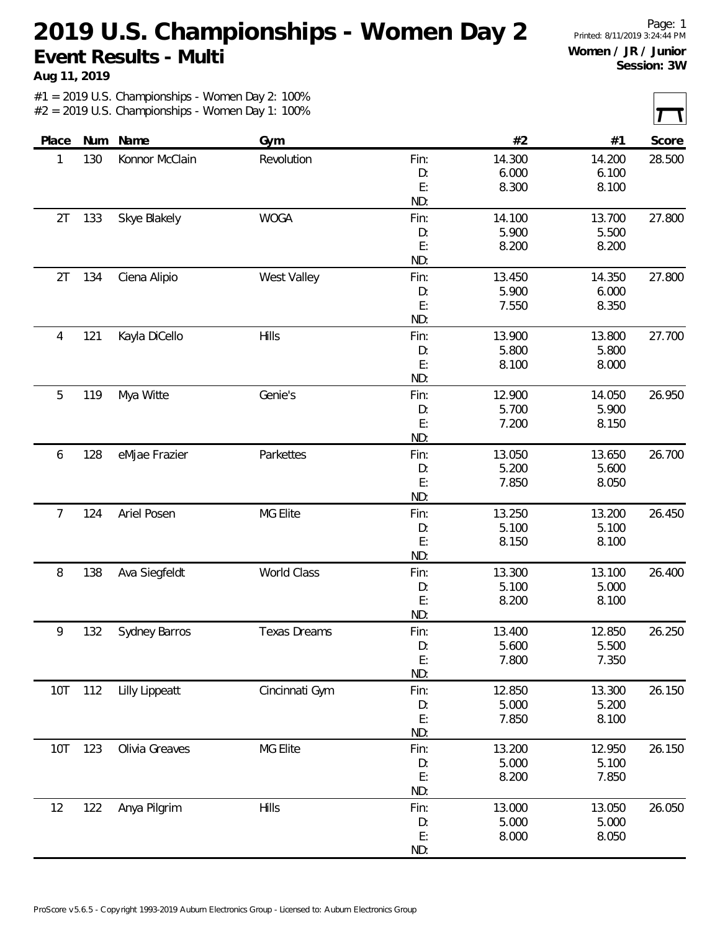**Aug 11, 2019**

Page: 1 Printed: 8/11/2019 3:24:44 PM **Women / JR / Junior Session: 3W**

| Place | Num | Name                  | Gym                 |           | #2     | #1     | Score  |
|-------|-----|-----------------------|---------------------|-----------|--------|--------|--------|
| 1     | 130 | Konnor McClain        | Revolution          | Fin:      | 14.300 | 14.200 | 28.500 |
|       |     |                       |                     | D:        | 6.000  | 6.100  |        |
|       |     |                       |                     | E:        | 8.300  | 8.100  |        |
|       |     |                       |                     | ND:       |        |        |        |
| 2T    | 133 | Skye Blakely          | <b>WOGA</b>         | Fin:      | 14.100 | 13.700 | 27.800 |
|       |     |                       |                     | D:        | 5.900  | 5.500  |        |
|       |     |                       |                     | E:        | 8.200  | 8.200  |        |
|       |     |                       |                     | ND:       |        |        |        |
| 2T    | 134 | Ciena Alipio          | West Valley         | Fin:      | 13.450 | 14.350 | 27.800 |
|       |     |                       |                     | D:        | 5.900  | 6.000  |        |
|       |     |                       |                     | E:        | 7.550  | 8.350  |        |
|       |     |                       |                     | ND:       |        |        |        |
| 4     | 121 | Kayla DiCello         | <b>Hills</b>        | Fin:      | 13.900 | 13.800 | 27.700 |
|       |     |                       |                     | D:        | 5.800  | 5.800  |        |
|       |     |                       |                     | E:        | 8.100  | 8.000  |        |
|       |     |                       |                     | ND:       |        |        |        |
| 5     | 119 | Mya Witte             | Genie's             | Fin:      | 12.900 | 14.050 | 26.950 |
|       |     |                       |                     | D:        | 5.700  | 5.900  |        |
|       |     |                       |                     | E:        | 7.200  | 8.150  |        |
|       |     |                       |                     | ND:       |        |        |        |
| 6     | 128 | eMjae Frazier         | Parkettes           | Fin:      | 13.050 | 13.650 | 26.700 |
|       |     |                       |                     |           | 5.200  | 5.600  |        |
|       |     |                       |                     | D:<br>E:  | 7.850  |        |        |
|       |     |                       |                     | ND:       |        | 8.050  |        |
| 7     | 124 | Ariel Posen           | MG Elite            | Fin:      | 13.250 | 13.200 | 26.450 |
|       |     |                       |                     | D:        | 5.100  | 5.100  |        |
|       |     |                       |                     | E:        | 8.150  | 8.100  |        |
|       |     |                       |                     | ND:       |        |        |        |
| 8     | 138 | Ava Siegfeldt         | World Class         | Fin:      | 13.300 | 13.100 | 26.400 |
|       |     |                       |                     | D:        | 5.100  | 5.000  |        |
|       |     |                       |                     | E:        | 8.200  | 8.100  |        |
|       |     |                       |                     | ND:       |        |        |        |
| 9     | 132 | Sydney Barros         | <b>Texas Dreams</b> | Fin:      | 13.400 | 12.850 | 26.250 |
|       |     |                       |                     | D:        | 5.600  | 5.500  |        |
|       |     |                       |                     | E:        | 7.800  | 7.350  |        |
|       |     |                       |                     | ND:       |        |        |        |
|       |     |                       |                     |           |        |        | 26.150 |
| 10T   | 112 | <b>Lilly Lippeatt</b> | Cincinnati Gym      | Fin:      | 12.850 | 13.300 |        |
|       |     |                       |                     | D:        | 5.000  | 5.200  |        |
|       |     |                       |                     | E:<br>ND: | 7.850  | 8.100  |        |
|       |     | Olivia Greaves        | MG Elite            |           | 13.200 | 12.950 |        |
| 10T   | 123 |                       |                     | Fin:      |        |        | 26.150 |
|       |     |                       |                     | D:        | 5.000  | 5.100  |        |
|       |     |                       |                     | E:        | 8.200  | 7.850  |        |
|       |     |                       |                     | ND:       |        |        |        |
| 12    | 122 | Anya Pilgrim          | Hills               | Fin:      | 13.000 | 13.050 | 26.050 |
|       |     |                       |                     | D:        | 5.000  | 5.000  |        |
|       |     |                       |                     | E:        | 8.000  | 8.050  |        |
|       |     |                       |                     | ND:       |        |        |        |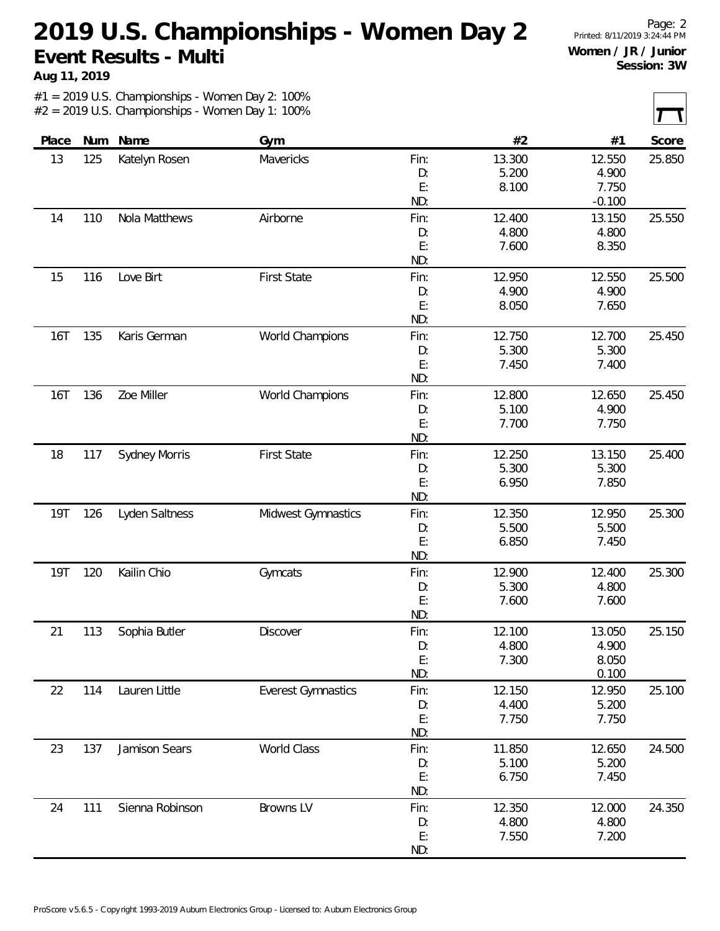**Aug 11, 2019**

Page: 2 Printed: 8/11/2019 3:24:44 PM **Women / JR / Junior Session: 3W**

| Place      | Num | Name                 | Gym                       |      | #2     | #1       | Score  |
|------------|-----|----------------------|---------------------------|------|--------|----------|--------|
| 13         | 125 | Katelyn Rosen        | Mavericks                 | Fin: | 13.300 | 12.550   | 25.850 |
|            |     |                      |                           | D:   | 5.200  | 4.900    |        |
|            |     |                      |                           | E:   | 8.100  | 7.750    |        |
|            |     |                      |                           | ND:  |        | $-0.100$ |        |
| 14         | 110 | Nola Matthews        | Airborne                  | Fin: | 12.400 | 13.150   | 25.550 |
|            |     |                      |                           | D:   | 4.800  | 4.800    |        |
|            |     |                      |                           | E:   | 7.600  | 8.350    |        |
|            |     |                      |                           | ND:  |        |          |        |
| 15         | 116 | Love Birt            | <b>First State</b>        | Fin: | 12.950 | 12.550   | 25.500 |
|            |     |                      |                           | D:   | 4.900  | 4.900    |        |
|            |     |                      |                           | E:   | 8.050  | 7.650    |        |
|            |     |                      |                           | ND:  |        |          |        |
| 16T        | 135 | Karis German         | World Champions           | Fin: | 12.750 | 12.700   | 25.450 |
|            |     |                      |                           | D:   | 5.300  | 5.300    |        |
|            |     |                      |                           | E:   | 7.450  | 7.400    |        |
|            |     |                      |                           | ND:  |        |          |        |
| 16T        | 136 | Zoe Miller           | World Champions           | Fin: | 12.800 | 12.650   | 25.450 |
|            |     |                      |                           | D:   | 5.100  | 4.900    |        |
|            |     |                      |                           | E:   | 7.700  | 7.750    |        |
|            |     |                      |                           | ND:  |        |          |        |
| 18         | 117 | <b>Sydney Morris</b> | <b>First State</b>        | Fin: | 12.250 | 13.150   | 25.400 |
|            |     |                      |                           | D:   | 5.300  | 5.300    |        |
|            |     |                      |                           | E:   | 6.950  | 7.850    |        |
|            |     |                      |                           | ND:  |        |          |        |
| <b>19T</b> | 126 | Lyden Saltness       | Midwest Gymnastics        | Fin: | 12.350 | 12.950   | 25.300 |
|            |     |                      |                           | D:   | 5.500  | 5.500    |        |
|            |     |                      |                           | E:   | 6.850  | 7.450    |        |
|            |     |                      |                           | ND:  |        |          |        |
| <b>19T</b> | 120 | Kailin Chio          | Gymcats                   | Fin: | 12.900 | 12.400   | 25.300 |
|            |     |                      |                           | D:   | 5.300  | 4.800    |        |
|            |     |                      |                           | E:   | 7.600  | 7.600    |        |
|            |     |                      |                           | ND:  |        |          |        |
| 21         | 113 | Sophia Butler        | <b>Discover</b>           | Fin: | 12.100 | 13.050   | 25.150 |
|            |     |                      |                           | D:   | 4.800  | 4.900    |        |
|            |     |                      |                           | E:   | 7.300  | 8.050    |        |
|            |     |                      |                           | ND:  |        | 0.100    |        |
| 22         | 114 | Lauren Little        | <b>Everest Gymnastics</b> | Fin: | 12.150 | 12.950   | 25.100 |
|            |     |                      |                           | D:   | 4.400  | 5.200    |        |
|            |     |                      |                           | E:   | 7.750  | 7.750    |        |
|            |     |                      |                           | ND:  |        |          |        |
| 23         | 137 | Jamison Sears        | World Class               | Fin: | 11.850 | 12.650   | 24.500 |
|            |     |                      |                           | D:   | 5.100  | 5.200    |        |
|            |     |                      |                           | E:   | 6.750  | 7.450    |        |
|            |     |                      |                           | ND:  |        |          |        |
| 24         | 111 | Sienna Robinson      | Browns LV                 | Fin: | 12.350 | 12.000   | 24.350 |
|            |     |                      |                           | D:   | 4.800  | 4.800    |        |
|            |     |                      |                           | E:   | 7.550  | 7.200    |        |
|            |     |                      |                           | ND:  |        |          |        |
|            |     |                      |                           |      |        |          |        |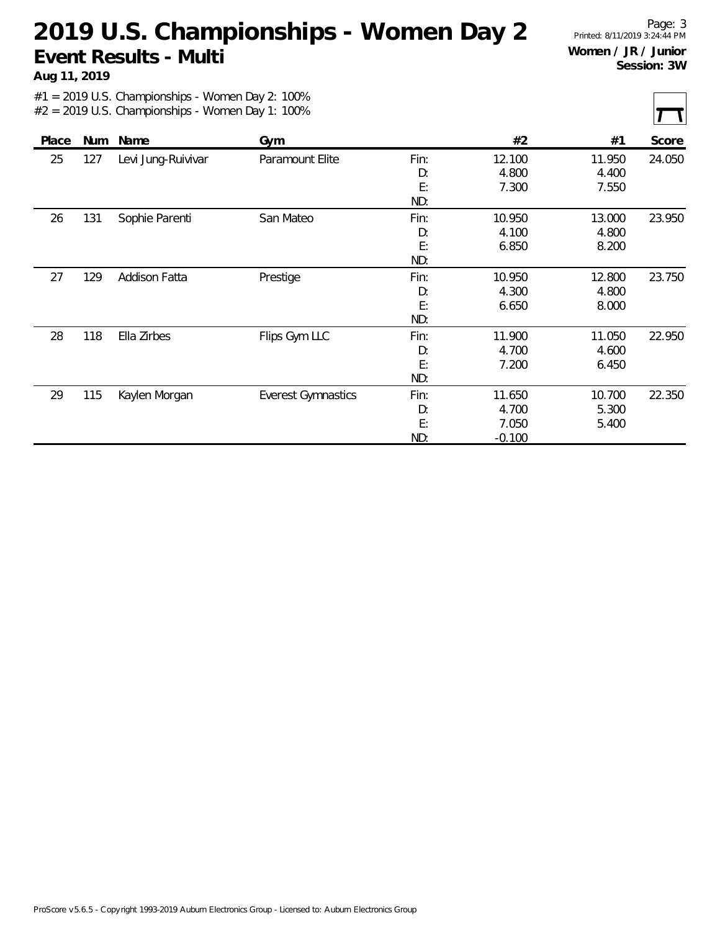**Aug 11, 2019**

Page: 3 Printed: 8/11/2019 3:24:44 PM **Women / JR / Junior Session: 3W**

|       |     |                    |                           |                         |                                      |                          | ட<br>$\mathbf{r}$ |
|-------|-----|--------------------|---------------------------|-------------------------|--------------------------------------|--------------------------|-------------------|
| Place | Num | Name               | Gym                       |                         | #2                                   | #1                       | Score             |
| 25    | 127 | Levi Jung-Ruivivar | Paramount Elite           | Fin:<br>D:<br>E:<br>ND: | 12.100<br>4.800<br>7.300             | 11.950<br>4.400<br>7.550 | 24.050            |
| 26    | 131 | Sophie Parenti     | San Mateo                 | Fin:<br>D:<br>E:<br>ND: | 10.950<br>4.100<br>6.850             | 13.000<br>4.800<br>8.200 | 23.950            |
| 27    | 129 | Addison Fatta      | Prestige                  | Fin:<br>D:<br>E:<br>ND: | 10.950<br>4.300<br>6.650             | 12.800<br>4.800<br>8.000 | 23.750            |
| 28    | 118 | Ella Zirbes        | Flips Gym LLC             | Fin:<br>D:<br>E:<br>ND: | 11.900<br>4.700<br>7.200             | 11.050<br>4.600<br>6.450 | 22.950            |
| 29    | 115 | Kaylen Morgan      | <b>Everest Gymnastics</b> | Fin:<br>D:<br>E:<br>ND: | 11.650<br>4.700<br>7.050<br>$-0.100$ | 10.700<br>5.300<br>5.400 | 22.350            |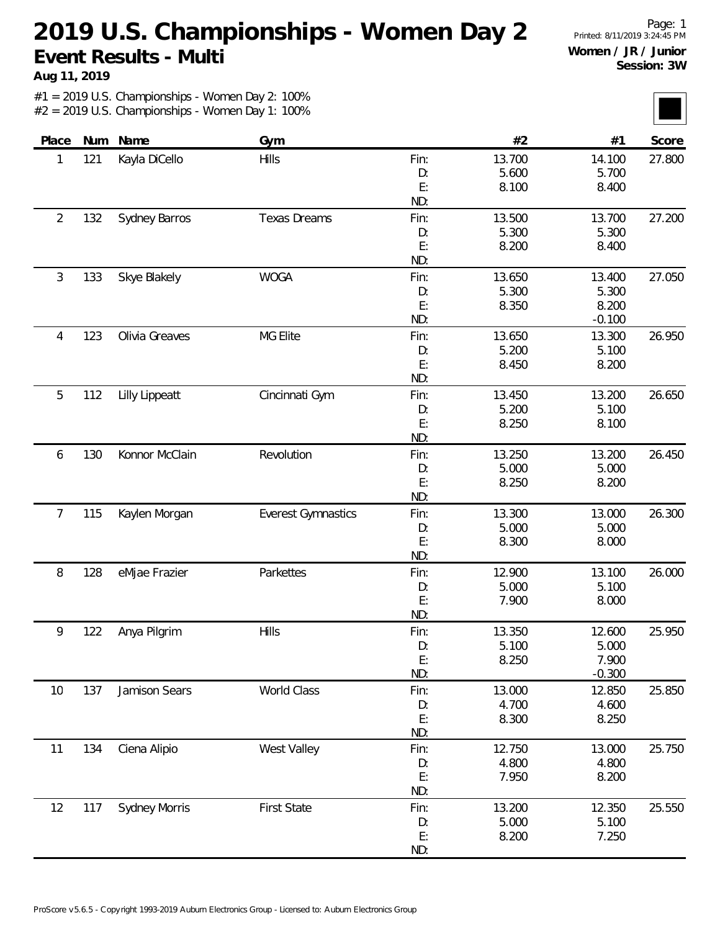**Aug 11, 2019**

Page: 1 Printed: 8/11/2019 3:24:45 PM **Women / JR / Junior Session: 3W**

| Place          | Num | Name                 | Gym                       |      | #2     | #1       | Score  |
|----------------|-----|----------------------|---------------------------|------|--------|----------|--------|
| 1              | 121 | Kayla DiCello        | <b>Hills</b>              | Fin: | 13.700 | 14.100   | 27.800 |
|                |     |                      |                           | D:   | 5.600  | 5.700    |        |
|                |     |                      |                           | E:   | 8.100  | 8.400    |        |
|                |     |                      |                           | ND:  |        |          |        |
| $\overline{2}$ | 132 | Sydney Barros        | <b>Texas Dreams</b>       | Fin: | 13.500 | 13.700   | 27.200 |
|                |     |                      |                           | D:   | 5.300  | 5.300    |        |
|                |     |                      |                           | E:   | 8.200  | 8.400    |        |
|                |     |                      |                           | ND:  |        |          |        |
| 3              | 133 | Skye Blakely         | <b>WOGA</b>               | Fin: | 13.650 | 13.400   | 27.050 |
|                |     |                      |                           | D:   | 5.300  | 5.300    |        |
|                |     |                      |                           | E:   | 8.350  | 8.200    |        |
|                |     |                      |                           | ND:  |        | $-0.100$ |        |
| 4              | 123 | Olivia Greaves       | MG Elite                  | Fin: | 13.650 | 13.300   | 26.950 |
|                |     |                      |                           | D:   | 5.200  | 5.100    |        |
|                |     |                      |                           | E:   | 8.450  | 8.200    |        |
|                |     |                      |                           | ND:  |        |          |        |
| 5              | 112 | Lilly Lippeatt       | Cincinnati Gym            | Fin: | 13.450 | 13.200   | 26.650 |
|                |     |                      |                           | D:   | 5.200  | 5.100    |        |
|                |     |                      |                           | E:   | 8.250  | 8.100    |        |
|                |     |                      |                           | ND:  |        |          |        |
| 6              | 130 | Konnor McClain       | Revolution                | Fin: | 13.250 | 13.200   | 26.450 |
|                |     |                      |                           | D:   | 5.000  | 5.000    |        |
|                |     |                      |                           | E:   | 8.250  | 8.200    |        |
|                |     |                      |                           | ND:  |        |          |        |
| 7              | 115 | Kaylen Morgan        | <b>Everest Gymnastics</b> | Fin: | 13.300 | 13.000   | 26.300 |
|                |     |                      |                           | D:   | 5.000  | 5.000    |        |
|                |     |                      |                           | E:   | 8.300  | 8.000    |        |
|                |     |                      |                           | ND:  |        |          |        |
| 8              | 128 | eMjae Frazier        | Parkettes                 | Fin: | 12.900 | 13.100   | 26.000 |
|                |     |                      |                           | D:   | 5.000  | 5.100    |        |
|                |     |                      |                           | E:   | 7.900  | 8.000    |        |
|                |     |                      |                           | ND:  |        |          |        |
| 9              | 122 | Anya Pilgrim         | <b>Hills</b>              | Fin: | 13.350 | 12.600   | 25.950 |
|                |     |                      |                           | D:   | 5.100  | 5.000    |        |
|                |     |                      |                           | E:   | 8.250  | 7.900    |        |
|                |     |                      |                           | ND:  |        | $-0.300$ |        |
| 10             | 137 | Jamison Sears        | World Class               | Fin: | 13.000 | 12.850   | 25.850 |
|                |     |                      |                           | D:   | 4.700  | 4.600    |        |
|                |     |                      |                           | E:   | 8.300  | 8.250    |        |
|                |     |                      |                           | ND:  |        |          |        |
| 11             | 134 | Ciena Alipio         | West Valley               | Fin: | 12.750 | 13.000   | 25.750 |
|                |     |                      |                           | D:   | 4.800  | 4.800    |        |
|                |     |                      |                           | E:   | 7.950  | 8.200    |        |
|                |     |                      |                           | ND:  |        |          |        |
| 12             | 117 | <b>Sydney Morris</b> | <b>First State</b>        | Fin: | 13.200 | 12.350   | 25.550 |
|                |     |                      |                           | D:   | 5.000  | 5.100    |        |
|                |     |                      |                           | E:   | 8.200  | 7.250    |        |
|                |     |                      |                           | ND:  |        |          |        |
|                |     |                      |                           |      |        |          |        |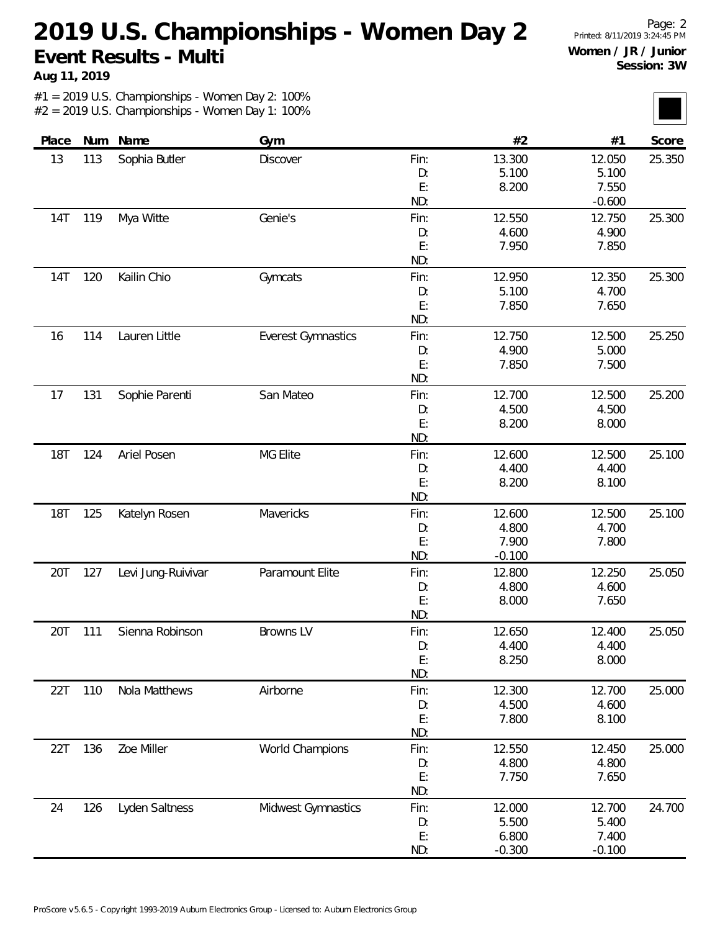**Aug 11, 2019**

Page: 2 Printed: 8/11/2019 3:24:45 PM **Women / JR / Junior Session: 3W**

| Place      |     | Num Name           | Gym                       |      | #2       | #1       | Score  |
|------------|-----|--------------------|---------------------------|------|----------|----------|--------|
| 13         | 113 | Sophia Butler      | <b>Discover</b>           | Fin: | 13.300   | 12.050   | 25.350 |
|            |     |                    |                           | D:   | 5.100    | 5.100    |        |
|            |     |                    |                           | E:   | 8.200    | 7.550    |        |
|            |     |                    |                           | ND:  |          | $-0.600$ |        |
| 14T        | 119 | Mya Witte          | Genie's                   | Fin: | 12.550   | 12.750   | 25.300 |
|            |     |                    |                           | D:   | 4.600    | 4.900    |        |
|            |     |                    |                           | E:   | 7.950    | 7.850    |        |
|            |     |                    |                           | ND:  |          |          |        |
| <b>14T</b> | 120 | Kailin Chio        | Gymcats                   | Fin: | 12.950   | 12.350   | 25.300 |
|            |     |                    |                           | D:   | 5.100    | 4.700    |        |
|            |     |                    |                           | E:   | 7.850    | 7.650    |        |
|            |     |                    |                           | ND:  |          |          |        |
| 16         | 114 | Lauren Little      | <b>Everest Gymnastics</b> | Fin: | 12.750   | 12.500   | 25.250 |
|            |     |                    |                           | D:   | 4.900    | 5.000    |        |
|            |     |                    |                           | E:   | 7.850    | 7.500    |        |
|            |     |                    |                           | ND:  |          |          |        |
| 17         | 131 | Sophie Parenti     | San Mateo                 | Fin: | 12.700   | 12.500   | 25.200 |
|            |     |                    |                           | D:   | 4.500    | 4.500    |        |
|            |     |                    |                           | E:   | 8.200    | 8.000    |        |
|            |     |                    |                           | ND:  |          |          |        |
| <b>18T</b> | 124 | Ariel Posen        | MG Elite                  | Fin: | 12.600   | 12.500   | 25.100 |
|            |     |                    |                           | D:   | 4.400    | 4.400    |        |
|            |     |                    |                           | E:   | 8.200    | 8.100    |        |
|            |     |                    |                           | ND:  |          |          |        |
| <b>18T</b> | 125 | Katelyn Rosen      | Mavericks                 | Fin: | 12.600   | 12.500   | 25.100 |
|            |     |                    |                           | D:   | 4.800    | 4.700    |        |
|            |     |                    |                           | E:   | 7.900    | 7.800    |        |
|            |     |                    |                           | ND:  | $-0.100$ |          |        |
| 20T        | 127 | Levi Jung-Ruivivar | Paramount Elite           | Fin: | 12.800   | 12.250   | 25.050 |
|            |     |                    |                           | D:   | 4.800    | 4.600    |        |
|            |     |                    |                           | E:   | 8.000    | 7.650    |        |
|            |     |                    |                           | ND:  |          |          |        |
| 20T        | 111 | Sienna Robinson    | Browns LV                 | Fin: | 12.650   | 12.400   | 25.050 |
|            |     |                    |                           | D:   | 4.400    | 4.400    |        |
|            |     |                    |                           | E:   | 8.250    | 8.000    |        |
|            |     |                    |                           | ND:  |          |          |        |
| 22T        | 110 | Nola Matthews      | Airborne                  | Fin: | 12.300   | 12.700   | 25.000 |
|            |     |                    |                           | D:   | 4.500    | 4.600    |        |
|            |     |                    |                           | E:   | 7.800    | 8.100    |        |
|            |     |                    |                           | ND:  |          |          |        |
| 22T        | 136 | Zoe Miller         | World Champions           | Fin: | 12.550   | 12.450   | 25.000 |
|            |     |                    |                           | D:   | 4.800    | 4.800    |        |
|            |     |                    |                           | E:   | 7.750    | 7.650    |        |
|            |     |                    |                           | ND:  |          |          |        |
| 24         | 126 | Lyden Saltness     | Midwest Gymnastics        | Fin: | 12.000   | 12.700   | 24.700 |
|            |     |                    |                           | D:   | 5.500    | 5.400    |        |
|            |     |                    |                           | E:   | 6.800    | 7.400    |        |
|            |     |                    |                           | ND:  | $-0.300$ | $-0.100$ |        |
|            |     |                    |                           |      |          |          |        |